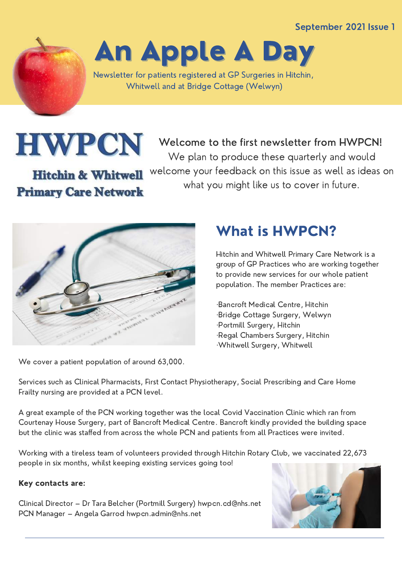September 2021 Issue 1

An Apple A Day

Newsletter for patients registered at GP Surgeries in Hitchin, Whitwell and at Bridge Cottage (Welwyn)

**HWPCN** 

**Primary Care Network** 

**Hitchin & Whitwell** 

Welcome to the first newsletter from HWPCN! We plan to produce these quarterly and would welcome your feedback on this issue as well as ideas on what you might like us to cover in future.



We cover a patient population of around 63,000.

# What is HWPCN?

Hitchin and Whitwell Primary Care Network is a group of GP Practices who are working together to provide new services for our whole patient population. The member Practices are:

·Bancroft Medical Centre, Hitchin ·Bridge Cottage Surgery, Welwyn ·Portmill Surgery, Hitchin ·Regal Chambers Surgery, Hitchin ·Whitwell Surgery, Whitwell

Services such as Clinical Pharmacists, First Contact Physiotherapy, Social Prescribing and Care Home Frailty nursing are provided at a PCN level.

A great example of the PCN working together was the local Covid Vaccination Clinic which ran from Courtenay House Surgery, part of Bancroft Medical Centre. Bancroft kindly provided the building space but the clinic was staffed from across the whole PCN and patients from all Practices were invited.

Working with a tireless team of volunteers provided through Hitchin Rotary Club, we vaccinated 22,673 people in six months, whilst keeping existing services going too!

#### Key contacts are:

Clinical Director – Dr Tara Belcher (Portmill Surgery) [hwpcn.cd@nhs.net](mailto:hwpcn.cd@nhs.net) PCN Manager – Angela Garrod [hwpcn.admin@nhs.net](mailto:hwpcn.admin@nhs.net)

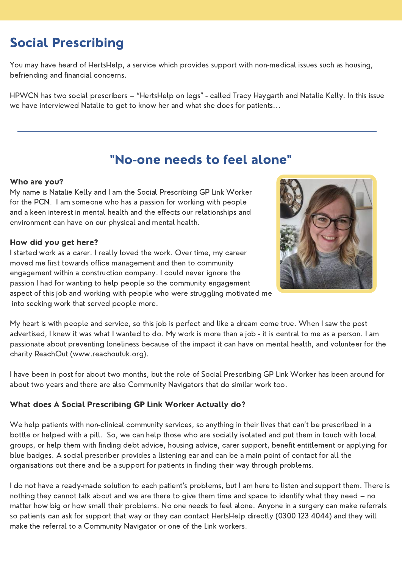## Social Prescribing

You may have heard of HertsHelp, a service which provides support with non-medical issues such as housing, befriending and financial concerns.

HPWCN has two social prescribers – "HertsHelp on legs" - called Tracy Haygarth and Natalie Kelly. In this issue we have interviewed Natalie to get to know her and what she does for patients...

### "No-one needs to feel alone"

#### Who are you?

My name is Natalie Kelly and I am the Social Prescribing GP Link Worker for the PCN. I am someone who has a passion for working with people and a keen interest in mental health and the effects our relationships and environment can have on our physical and mental health.

#### How did you get here?

I started work as a carer. I really loved the work. Over time, my career moved me first towards office management and then to community engagement within a construction company. I could never ignore the passion I had for wanting to help people so the community engagement aspect of this job and working with people who were struggling motivated me into seeking work that served people more.



My heart is with people and service, so this job is perfect and like a dream come true. When I saw the post advertised, I knew it was what I wanted to do. My work is more than a job - it is central to me as a person. I am passionate about preventing loneliness because of the impact it can have on mental health, and volunteer for the charity ReachOut (www.reachoutuk.org).

I have been in post for about two months, but the role of Social Prescribing GP Link Worker has been around for about two years and there are also Community Navigators that do similar work too.

#### What does A Social Prescribing GP Link Worker Actually do?

We help patients with non-clinical community services, so anything in their lives that can't be prescribed in a bottle or helped with a pill. So, we can help those who are socially isolated and put them in touch with local groups, or help them with finding debt advice, housing advice, carer support, benefit entitlement or applying for blue badges. A social prescriber provides a listening ear and can be a main point of contact for all the organisations out there and be a support for patients in finding their way through problems.

I do not have a ready-made solution to each patient's problems, but I am here to listen and support them. There is nothing they cannot talk about and we are there to give them time and space to identify what they need – no matter how big or how small their problems. No one needs to feel alone. Anyone in a surgery can make referrals so patients can ask for support that way or they can contact HertsHelp directly (0300 123 4044) and they will make the referral to a Community Navigator or one of the Link workers.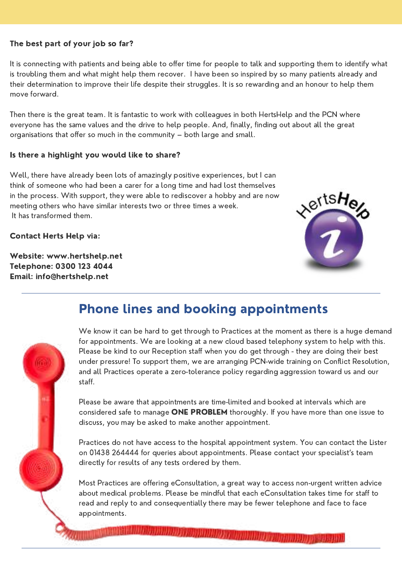#### The best part of your job so far?

It is connecting with patients and being able to offer time for people to talk and supporting them to identify what is troubling them and what might help them recover. I have been so inspired by so many patients already and their determination to improve their life despite their struggles. It is so rewarding and an honour to help them move forward.

Then there is the great team. It is fantastic to work with colleagues in both HertsHelp and the PCN where everyone has the same values and the drive to help people. And, finally, finding out about all the great organisations that offer so much in the community – both large and small.

#### Is there a highlight you would like to share?

Well, there have already been lots of amazingly positive experiences, but I can think of someone who had been a carer for a long time and had lost themselves in the process. With support, they were able to rediscover a hobby and are now meeting others who have similar interests two or three times a week. It has transformed them.

Contact Herts Help via:

Website: [www.hertshelp.net](http://www.hertshelp.net/) Telephone: 0300 123 4044 Email: info@hertshelp.net



### Phone lines and booking appointments



Please be aware that appointments are time-limited and booked at intervals which are considered safe to manage ONE PROBLEM thoroughly. If you have more than one issue to discuss, you may be asked to make another appointment.

Practices do not have access to the hospital appointment system. You can contact the Lister on 01438 264444 for queries about appointments. Please contact your specialist's team directly for results of any tests ordered by them.

Most Practices are offering eConsultation, a great way to access non-urgent written advice about medical problems. Please be mindful that each eConsultation takes time for staff to read and reply to and consequentially there may be fewer telephone and face to face appointments.

*<u><i><u> CONTRACTORY CARDINAL CARDINAL CARDINAL CARDINAL CARDINAL CARDINAL CARDINAL CARDINAL CARDINAL CARDINAL CARDINAL CARDINAL CARDINAL CARDINAL CARDINAL CARDINAL CARDINAL CARDINAL CARDINAL CARDINAL CARDINAL CARDINAL CARDIN*</u></u>